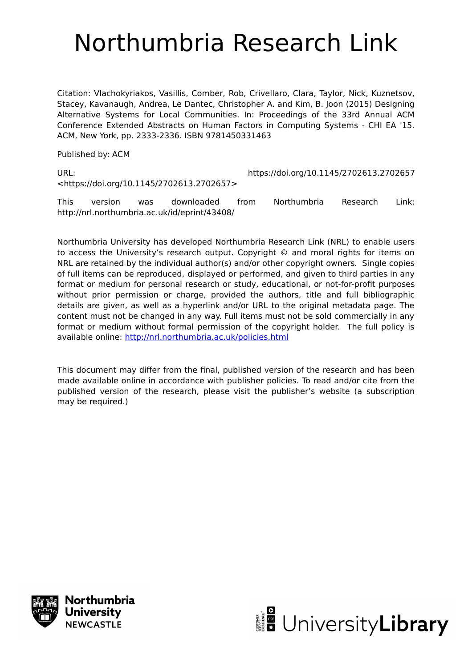# Northumbria Research Link

Citation: Vlachokyriakos, Vasillis, Comber, Rob, Crivellaro, Clara, Taylor, Nick, Kuznetsov, Stacey, Kavanaugh, Andrea, Le Dantec, Christopher A. and Kim, B. Joon (2015) Designing Alternative Systems for Local Communities. In: Proceedings of the 33rd Annual ACM Conference Extended Abstracts on Human Factors in Computing Systems - CHI EA '15. ACM, New York, pp. 2333-2336. ISBN 9781450331463

Published by: ACM

<https://doi.org/10.1145/2702613.2702657>

URL: https://doi.org/10.1145/2702613.2702657

This version was downloaded from Northumbria Research Link: http://nrl.northumbria.ac.uk/id/eprint/43408/

Northumbria University has developed Northumbria Research Link (NRL) to enable users to access the University's research output. Copyright © and moral rights for items on NRL are retained by the individual author(s) and/or other copyright owners. Single copies of full items can be reproduced, displayed or performed, and given to third parties in any format or medium for personal research or study, educational, or not-for-profit purposes without prior permission or charge, provided the authors, title and full bibliographic details are given, as well as a hyperlink and/or URL to the original metadata page. The content must not be changed in any way. Full items must not be sold commercially in any format or medium without formal permission of the copyright holder. The full policy is available online:<http://nrl.northumbria.ac.uk/policies.html>

This document may differ from the final, published version of the research and has been made available online in accordance with publisher policies. To read and/or cite from the published version of the research, please visit the publisher's website (a subscription may be required.)



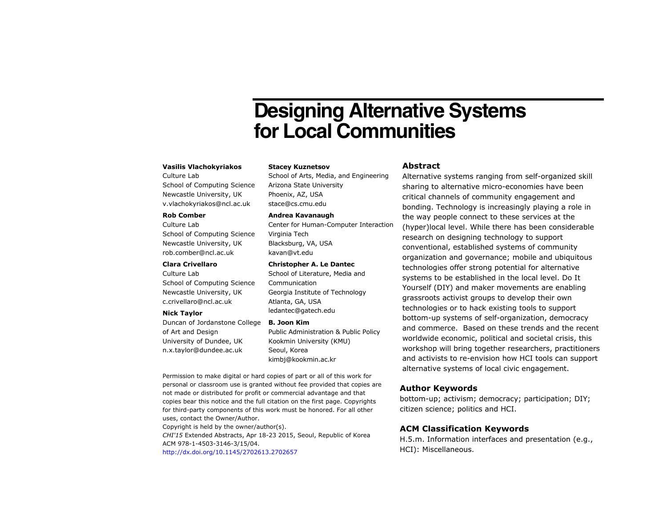## **Designing Alternative Systems for Local Communities**

#### **Vasilis Vlachokyriakos**

Culture Lab School of Computing Science Newcastle University, UK v.vlachokyriakos@ncl.ac.uk

#### **Rob Comber**

Culture Lab School of Computing Science Newcastle University, UK rob.comber@ncl.ac.uk

#### **Clara Crivellaro**

Culture Lab School of Computing Science Newcastle University, UK c.crivellaro@ncl.ac.uk

#### **Nick Taylor**

Duncan of Jordanstone College **B. Joon Kim**  of Art and Design University of Dundee, UK n.x.taylor@dundee.ac.uk

#### **Stacey Kuznetsov**

School of Arts, Media, and Engineering Arizona State University Phoenix, AZ, USA stace@cs.cmu.edu

#### **Andrea Kavanaugh**

Center for Human-Computer Interaction Virginia Tech Blacksburg, VA, USA kavan@vt.edu

#### **Christopher A. Le Dantec**

School of Literature, Media and Communication Georgia Institute of Technology Atlanta, GA, USA ledantec@gatech.edu

Public Administration & Public Policy Kookmin University (KMU) Seoul, Korea kimbj@kookmin.ac.kr

Permission to make digital or hard copies of part or all of this work for personal or classroom use is granted without fee provided that copies are not made or distributed for profit or commercial advantage and that copies bear this notice and the full citation on the first page. Copyrights for third-party components of this work must be honored. For all other uses, contact the Owner/Author.

Copyright is held by the owner/author(s). *CHI'15* Extended Abstracts, Apr 18-23 2015, Seoul, Republic of Korea ACM 978-1-4503-3146-3/15/04. http://dx.doi.org/10.1145/2702613.2702657

### **Abstract**

Alternative systems ranging from self-organized skill sharing to alternative micro-economies have been critical channels of community engagement and bonding. Technology is increasingly playing a role in the way people connect to these services at the (hyper)local level. While there has been considerable research on designing technology to support conventional, established systems of community organization and governance; mobile and ubiquitous technologies offer strong potential for alternative systems to be established in the local level. Do It Yourself (DIY) and maker movements are enabling grassroots activist groups to develop their own technologies or to hack existing tools to support bottom-up systems of self-organization, democracy and commerce. Based on these trends and the recent worldwide economic, political and societal crisis, this workshop will bring together researchers, practitioners and activists to re-envision how HCI tools can support alternative systems of local civic engagement.

#### **Author Keywords**

bottom-up; activism; democracy; participation; DIY; citizen science; politics and HCI.

#### **ACM Classification Keywords**

H.5.m. Information interfaces and presentation (e.g., HCI): Miscellaneous.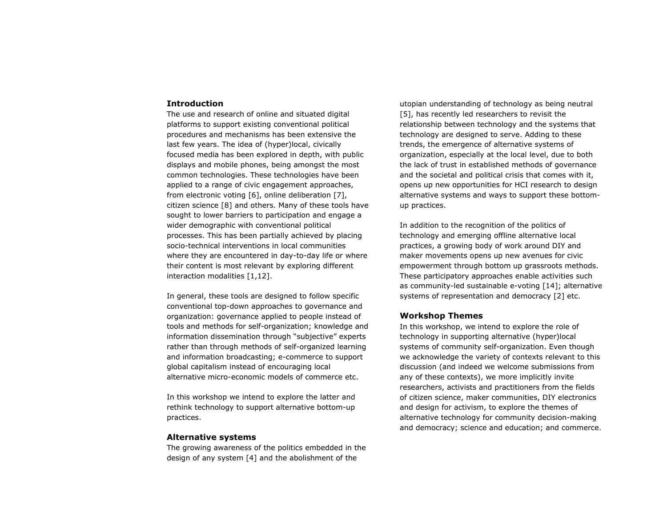#### **Introduction**

The use and research of online and situated digital platforms to support existing conventional political procedures and mechanisms has been extensive the last few years. The idea of (hyper)local, civically focused media has been explored in depth, with public displays and mobile phones, being amongst the most common technologies. These technologies have been applied to a range of civic engagement approaches, from electronic voting [6], online deliberation [7], citizen science [8] and others. Many of these tools have sought to lower barriers to participation and engage a wider demographic with conventional political processes. This has been partially achieved by placing socio-technical interventions in local communities where they are encountered in day-to-day life or where their content is most relevant by exploring different interaction modalities [1,12].

In general, these tools are designed to follow specific conventional top-down approaches to governance and organization: governance applied to people instead of tools and methods for self-organization; knowledge and information dissemination through "subjective" experts rather than through methods of self-organized learning and information broadcasting; e-commerce to support global capitalism instead of encouraging local alternative micro-economic models of commerce etc.

In this workshop we intend to explore the latter and rethink technology to support alternative bottom-up practices.

#### **Alternative systems**

The growing awareness of the politics embedded in the design of any system [4] and the abolishment of the

utopian understanding of technology as being neutral [5], has recently led researchers to revisit the relationship between technology and the systems that technology are designed to serve. Adding to these trends, the emergence of alternative systems of organization, especially at the local level, due to both the lack of trust in established methods of governance and the societal and political crisis that comes with it, opens up new opportunities for HCI research to design alternative systems and ways to support these bottomup practices.

In addition to the recognition of the politics of technology and emerging offline alternative local practices, a growing body of work around DIY and maker movements opens up new avenues for civic empowerment through bottom up grassroots methods. These participatory approaches enable activities such as community-led sustainable e-voting [14]; alternative systems of representation and democracy [2] etc.

#### **Workshop Themes**

In this workshop, we intend to explore the role of technology in supporting alternative (hyper)local systems of community self-organization. Even though we acknowledge the variety of contexts relevant to this discussion (and indeed we welcome submissions from any of these contexts), we more implicitly invite researchers, activists and practitioners from the fields of citizen science, maker communities, DIY electronics and design for activism, to explore the themes of alternative technology for community decision-making and democracy; science and education; and commerce.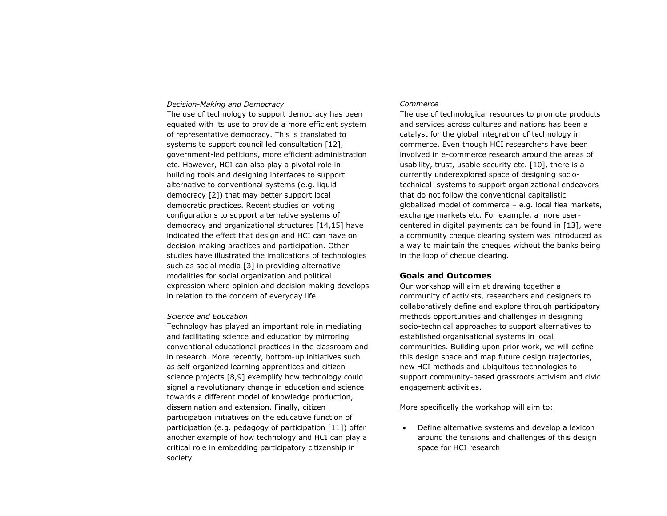#### *Decision-Making and Democracy*

The use of technology to support democracy has been equated with its use to provide a more efficient system of representative democracy. This is translated to systems to support council led consultation [12], government-led petitions, more efficient administration etc. However, HCI can also play a pivotal role in building tools and designing interfaces to support alternative to conventional systems (e.g. liquid democracy [2]) that may better support local democratic practices. Recent studies on voting configurations to support alternative systems of democracy and organizational structures [14,15] have indicated the effect that design and HCI can have on decision-making practices and participation. Other studies have illustrated the implications of technologies such as social media [3] in providing alternative modalities for social organization and political expression where opinion and decision making develops in relation to the concern of everyday life.

#### *Science and Education*

Technology has played an important role in mediating and facilitating science and education by mirroring conventional educational practices in the classroom and in research. More recently, bottom-up initiatives such as self-organized learning apprentices and citizenscience projects [8,9] exemplify how technology could signal a revolutionary change in education and science towards a different model of knowledge production, dissemination and extension. Finally, citizen participation initiatives on the educative function of participation (e.g. pedagogy of participation [11]) offer another example of how technology and HCI can play a critical role in embedding participatory citizenship in society.

#### *Commerce*

The use of technological resources to promote products and services across cultures and nations has been a catalyst for the global integration of technology in commerce. Even though HCI researchers have been involved in e-commerce research around the areas of usability, trust, usable security etc. [10], there is a currently underexplored space of designing sociotechnical systems to support organizational endeavors that do not follow the conventional capitalistic globalized model of commerce – e.g. local flea markets, exchange markets etc. For example, a more usercentered in digital payments can be found in [13], were a community cheque clearing system was introduced as a way to maintain the cheques without the banks being in the loop of cheque clearing.

#### **Goals and Outcomes**

Our workshop will aim at drawing together a community of activists, researchers and designers to collaboratively define and explore through participatory methods opportunities and challenges in designing socio-technical approaches to support alternatives to established organisational systems in local communities. Building upon prior work, we will define this design space and map future design trajectories, new HCI methods and ubiquitous technologies to support community-based grassroots activism and civic engagement activities.

More specifically the workshop will aim to:

 Define alternative systems and develop a lexicon around the tensions and challenges of this design space for HCI research